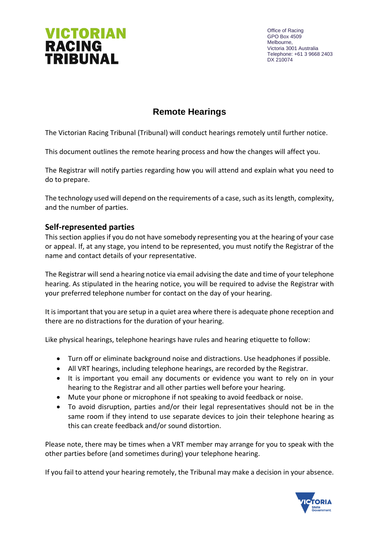

Office of Racing GPO Box 4509 Melbourne, Victoria 3001 Australia Telephone: +61 3 9668 2403 DX 210074

# **Remote Hearings**

The Victorian Racing Tribunal (Tribunal) will conduct hearings remotely until further notice.

This document outlines the remote hearing process and how the changes will affect you.

The Registrar will notify parties regarding how you will attend and explain what you need to do to prepare.

The technology used will depend on the requirements of a case, such as its length, complexity, and the number of parties.

## **Self-represented parties**

This section applies if you do not have somebody representing you at the hearing of your case or appeal. If, at any stage, you intend to be represented, you must notify the Registrar of the name and contact details of your representative.

The Registrar will send a hearing notice via email advising the date and time of your telephone hearing. As stipulated in the hearing notice, you will be required to advise the Registrar with your preferred telephone number for contact on the day of your hearing.

It is important that you are setup in a quiet area where there is adequate phone reception and there are no distractions for the duration of your hearing.

Like physical hearings, telephone hearings have rules and hearing etiquette to follow:

- Turn off or eliminate background noise and distractions. Use headphones if possible.
- All VRT hearings, including telephone hearings, are recorded by the Registrar.
- It is important you email any documents or evidence you want to rely on in your hearing to the Registrar and all other parties well before your hearing.
- Mute your phone or microphone if not speaking to avoid feedback or noise.
- To avoid disruption, parties and/or their legal representatives should not be in the same room if they intend to use separate devices to join their telephone hearing as this can create feedback and/or sound distortion.

Please note, there may be times when a VRT member may arrange for you to speak with the other parties before (and sometimes during) your telephone hearing.

If you fail to attend your hearing remotely, the Tribunal may make a decision in your absence.

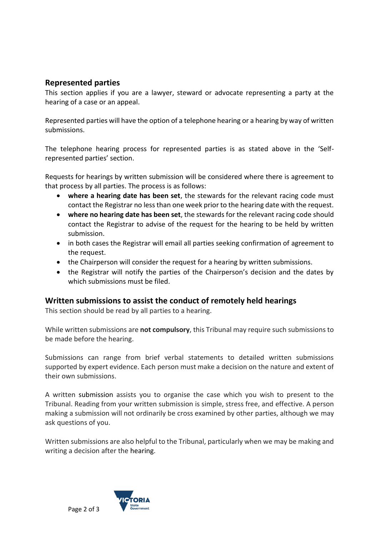# **Represented parties**

This section applies if you are a lawyer, steward or advocate representing a party at the hearing of a case or an appeal.

Represented parties will have the option of a telephone hearing or a hearing by way of written submissions.

The telephone hearing process for represented parties is as stated above in the 'Selfrepresented parties' section.

Requests for hearings by written submission will be considered where there is agreement to that process by all parties. The process is as follows:

- **where a hearing date has been set**, the stewards for the relevant racing code must contact the Registrar no less than one week prior to the hearing date with the request.
- **where no hearing date has been set**, the stewards for the relevant racing code should contact the Registrar to advise of the request for the hearing to be held by written submission.
- in both cases the Registrar will email all parties seeking confirmation of agreement to the request.
- the Chairperson will consider the request for a hearing by written submissions.
- the Registrar will notify the parties of the Chairperson's decision and the dates by which submissions must be filed.

## **Written submissions to assist the conduct of remotely held hearings**

This section should be read by all parties to a hearing.

While written submissions are **not compulsory**, this Tribunal may require such submissions to be made before the hearing.

Submissions can range from brief verbal statements to detailed written submissions supported by expert evidence. Each person must make a decision on the nature and extent of their own submissions.

A written submission assists you to organise the case which you wish to present to the Tribunal. Reading from your written submission is simple, stress free, and effective. A person making a submission will not ordinarily be cross examined by other parties, although we may ask questions of you.

Written submissions are also helpful to the Tribunal, particularly when we may be making and writing a decision after the hearing.